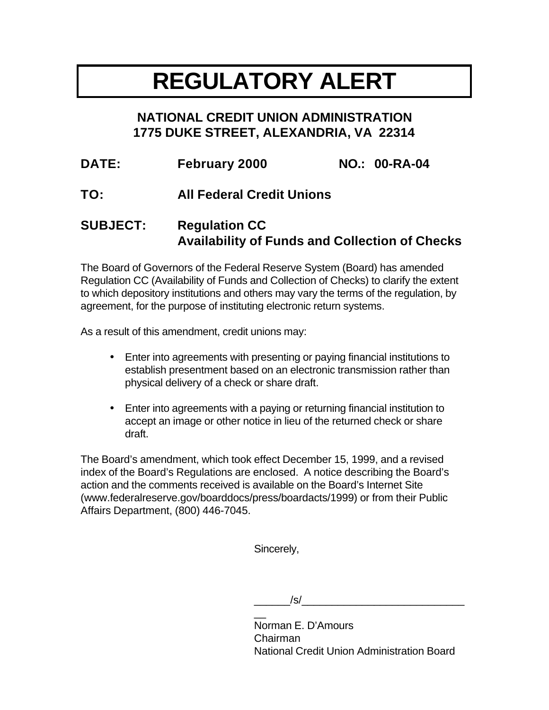# **REGULATORY ALERT**

# **NATIONAL CREDIT UNION ADMINISTRATION 1775 DUKE STREET, ALEXANDRIA, VA 22314**

| <b>DATE:</b> | <b>February 2000</b>             | <b>NO.: 00-RA-04</b> |
|--------------|----------------------------------|----------------------|
| TO:          | <b>All Federal Credit Unions</b> |                      |

# **SUBJECT: Regulation CC Availability of Funds and Collection of Checks**

The Board of Governors of the Federal Reserve System (Board) has amended Regulation CC (Availability of Funds and Collection of Checks) to clarify the extent to which depository institutions and others may vary the terms of the regulation, by agreement, for the purpose of instituting electronic return systems.

As a result of this amendment, credit unions may:

- Enter into agreements with presenting or paying financial institutions to establish presentment based on an electronic transmission rather than physical delivery of a check or share draft.
- Enter into agreements with a paying or returning financial institution to accept an image or other notice in lieu of the returned check or share draft.

The Board's amendment, which took effect December 15, 1999, and a revised index of the Board's Regulations are enclosed. A notice describing the Board's action and the comments received is available on the Board's Internet Site (www.federalreserve.gov/boarddocs/press/boardacts/1999) or from their Public Affairs Department, (800) 446-7045.

Sincerely,

 $/\mathsf{s}/\mathsf{s}$ 

 $\overline{a}$ Norman E. D'Amours Chairman National Credit Union Administration Board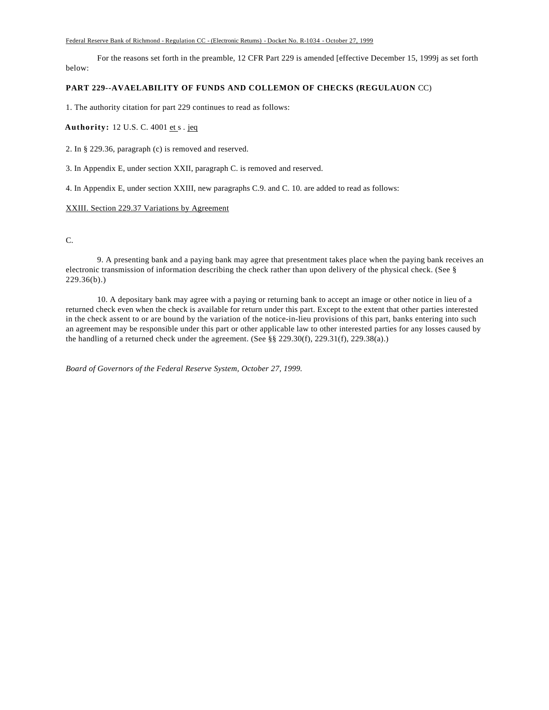#### Federal Reserve Bank of Richmond - Regulation CC - (Electronic Retums) - Docket No. R-1034 - October 27, 1999

For the reasons set forth in the preamble, 12 CFR Part 229 is amended [effective December 15, 1999j as set forth below:

### **PART 229--AVAELABILITY OF FUNDS AND COLLEMON OF CHECKS (REGULAUON** CC)

1. The authority citation for part 229 continues to read as follows:

**Authority:** 12 U.S. C. 4001 et s . jeq

2. In § 229.36, paragraph (c) is removed and reserved.

3. In Appendix E, under section XXII, paragraph C. is removed and reserved.

4. In Appendix E, under section XXIII, new paragraphs C.9. and C. 10. are added to read as follows:

#### XXIII. Section 229.37 Variations by Agreement

C.

9. A presenting bank and a paying bank may agree that presentment takes place when the paying bank receives an electronic transmission of information describing the check rather than upon delivery of the physical check. (See §  $229.36(b)$ .)

10. A depositary bank may agree with a paying or returning bank to accept an image or other notice in lieu of a returned check even when the check is available for return under this part. Except to the extent that other parties interested in the check assent to or are bound by the variation of the notice-in-lieu provisions of this part, banks entering into such an agreement may be responsible under this part or other applicable law to other interested parties for any losses caused by the handling of a returned check under the agreement. (See §§ 229.30(f), 229.31(f), 229.38(a).)

*Board of Governors of the Federal Reserve System, October 27, 1999.*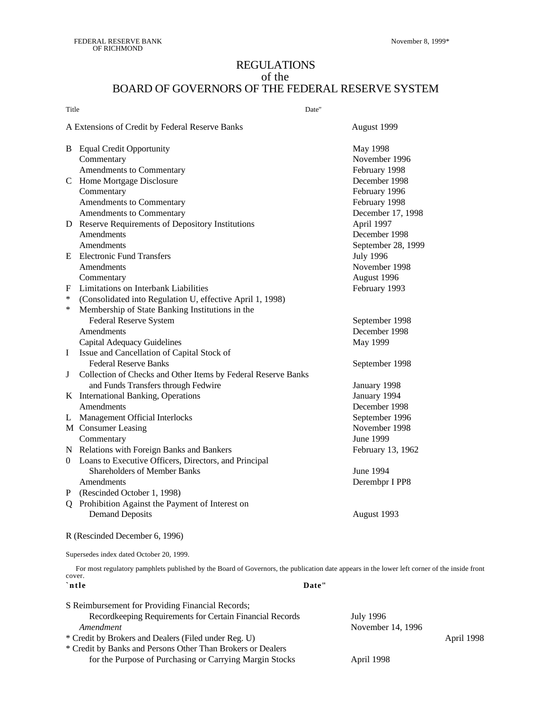# REGULATIONS of the BOARD OF GOVERNORS OF THE FEDERAL RESERVE SYSTEM

| Title<br>Date" |                                                               |                    |  |
|----------------|---------------------------------------------------------------|--------------------|--|
|                | A Extensions of Credit by Federal Reserve Banks               | August 1999        |  |
|                | <b>B</b> Equal Credit Opportunity                             | May 1998           |  |
|                | Commentary                                                    | November 1996      |  |
|                | Amendments to Commentary                                      | February 1998      |  |
|                | C Home Mortgage Disclosure                                    | December 1998      |  |
|                | Commentary                                                    | February 1996      |  |
|                | Amendments to Commentary                                      | February 1998      |  |
|                | Amendments to Commentary                                      | December 17, 1998  |  |
|                | D Reserve Requirements of Depository Institutions             | April 1997         |  |
|                | Amendments                                                    | December 1998      |  |
|                | Amendments                                                    | September 28, 1999 |  |
|                | <b>E</b> Electronic Fund Transfers                            | <b>July 1996</b>   |  |
|                | Amendments                                                    | November 1998      |  |
|                | Commentary                                                    | August 1996        |  |
| F              | Limitations on Interbank Liabilities                          | February 1993      |  |
| $\ast$         | (Consolidated into Regulation U, effective April 1, 1998)     |                    |  |
| $\ast$         | Membership of State Banking Institutions in the               |                    |  |
|                | Federal Reserve System                                        | September 1998     |  |
|                | Amendments                                                    | December 1998      |  |
|                | Capital Adequacy Guidelines                                   | May 1999           |  |
| I              | Issue and Cancellation of Capital Stock of                    |                    |  |
|                | <b>Federal Reserve Banks</b>                                  | September 1998     |  |
| J              | Collection of Checks and Other Items by Federal Reserve Banks |                    |  |
|                | and Funds Transfers through Fedwire                           | January 1998       |  |
|                | K International Banking, Operations                           | January 1994       |  |
|                | Amendments                                                    | December 1998      |  |
|                | L Management Official Interlocks                              | September 1996     |  |
|                | M Consumer Leasing                                            | November 1998      |  |
|                | Commentary                                                    | June 1999          |  |
|                | N Relations with Foreign Banks and Bankers                    | February 13, 1962  |  |
| 0              | Loans to Executive Officers, Directors, and Principal         |                    |  |
|                | <b>Shareholders of Member Banks</b>                           | June 1994          |  |
|                | Amendments                                                    | Derembpr I PP8     |  |
|                | P (Rescinded October 1, 1998)                                 |                    |  |
|                | Q Prohibition Against the Payment of Interest on              |                    |  |
|                | <b>Demand Deposits</b>                                        | August 1993        |  |
|                | R (Rescinded December 6, 1996)                                |                    |  |

Supersedes index dated October 20, 1999.

For most regulatory pamphlets published by the Board of Governors, the publication date appears in the lower left corner of the inside front cover. **`ntle Date"**

| S Reimbursement for Providing Financial Records;            |                   |            |
|-------------------------------------------------------------|-------------------|------------|
| Record keeping Requirements for Certain Financial Records   | July 1996         |            |
| Amendment                                                   | November 14, 1996 |            |
| * Credit by Brokers and Dealers (Filed under Reg. U)        |                   | April 1998 |
| * Credit by Banks and Persons Other Than Brokers or Dealers |                   |            |
| for the Purpose of Purchasing or Carrying Margin Stocks     | April 1998        |            |